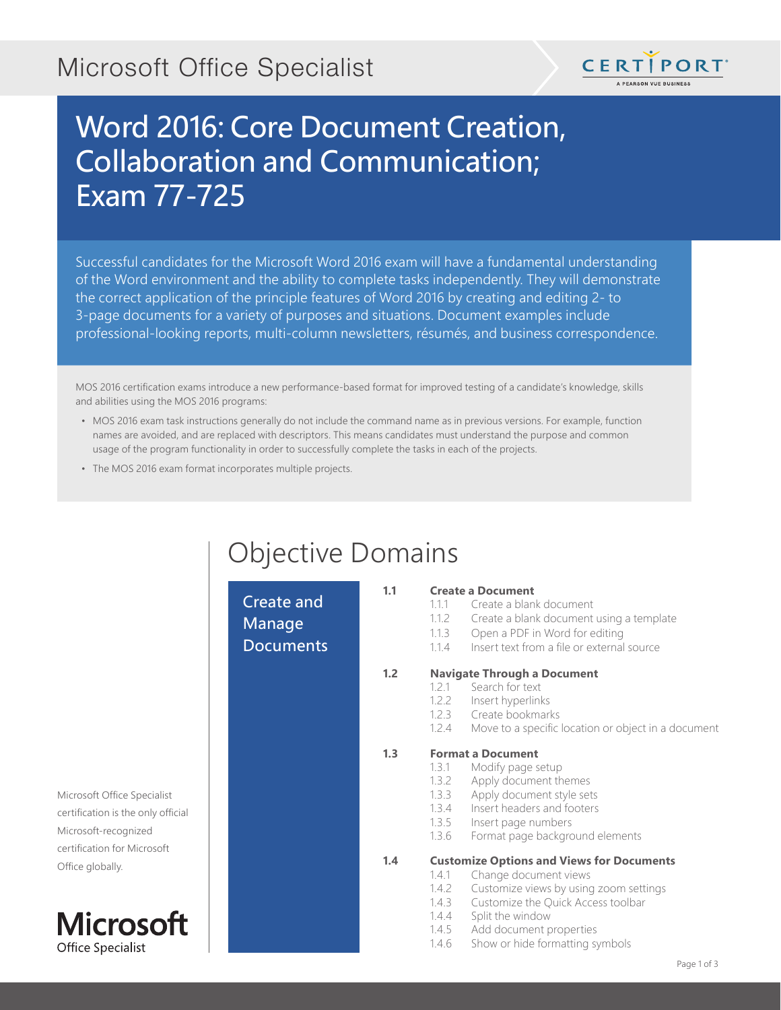# Microsoft Office Specialist



# Word 2016: Core Document Creation, Collaboration and Communication; Exam 77-725

Successful candidates for the Microsoft Word 2016 exam will have a fundamental understanding of the Word environment and the ability to complete tasks independently. They will demonstrate the correct application of the principle features of Word 2016 by creating and editing 2- to 3-page documents for a variety of purposes and situations. Document examples include professional-looking reports, multi-column newsletters, résumés, and business correspondence.

MOS 2016 certification exams introduce a new performance-based format for improved testing of a candidate's knowledge, skills and abilities using the MOS 2016 programs:

- MOS 2016 exam task instructions generally do not include the command name as in previous versions. For example, function names are avoided, and are replaced with descriptors. This means candidates must understand the purpose and common usage of the program functionality in order to successfully complete the tasks in each of the projects.
- The MOS 2016 exam format incorporates multiple projects.

# Objective Domains

Create and Manage **Documents** 

#### **1.1 Create a Document**

- 1.1.1 Create a blank document
- 1.1.2 Create a blank document using a template
- 1.1.3 Open a PDF in Word for editing
- 1.1.4 Insert text from a file or external source

### **1.2 Navigate Through a Document**

- 1.2.1 Search for text
- 1.2.2 Insert hyperlinks
- 1.2.3 Create bookmarks
- 1.2.4 Move to a specific location or object in a document

### **1.3 Format a Document**

- 1.3.1 Modify page setup
- 1.3.2 Apply document themes
- 1.3.3 Apply document style sets
- 1.3.4 Insert headers and footers
- 1.3.5 Insert page numbers
- 1.3.6 Format page background elements

### **1.4 Customize Options and Views for Documents**

- 1.4.1 Change document views
	- 1.4.2 Customize views by using zoom settings
	- 1.4.3 Customize the Quick Access toolbar
	- 1.4.4 Split the window
	- 1.4.5 Add document properties
	- 1.4.6 Show or hide formatting symbols

Microsoft Office Specialist certification is the only official Microsoft-recognized certification for Microsoft Office globally.

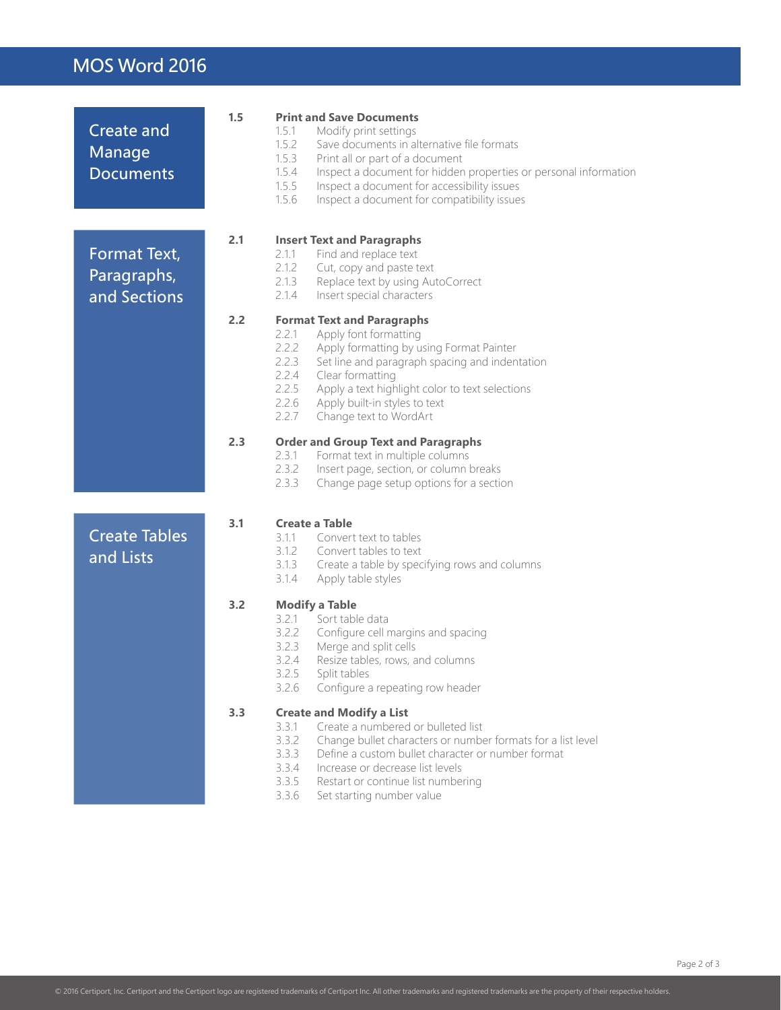### MOS Word 2016

| <b>Create and</b><br>Manage<br><b>Documents</b> | 1.5 | <b>Print and Save Documents</b><br>1.5.1<br>Modify print settings<br>1.5.2<br>Save documents in alternative file formats<br>1.5.3<br>Print all or part of a document<br>1.5.4<br>Inspect a document for hidden properties or personal information<br>1.5.5<br>Inspect a document for accessibility issues<br>1.5.6<br>Inspect a document for compatibility issues |
|-------------------------------------------------|-----|-------------------------------------------------------------------------------------------------------------------------------------------------------------------------------------------------------------------------------------------------------------------------------------------------------------------------------------------------------------------|
| Format Text,<br>Paragraphs,<br>and Sections     | 2.1 | <b>Insert Text and Paragraphs</b><br>Find and replace text<br>2.1.1<br>2.1.2<br>Cut, copy and paste text<br>2.1.3<br>Replace text by using AutoCorrect<br>2.1.4<br>Insert special characters                                                                                                                                                                      |
|                                                 | 2.2 | <b>Format Text and Paragraphs</b><br>2.2.1<br>Apply font formatting<br>2.2.2<br>Apply formatting by using Format Painter<br>2.2.3<br>Set line and paragraph spacing and indentation<br>2.2.4<br>Clear formatting<br>2.2.5<br>Apply a text highlight color to text selections<br>2.2.6<br>Apply built-in styles to text<br>2.2.7<br>Change text to WordArt         |
|                                                 | 2.3 | <b>Order and Group Text and Paragraphs</b><br>2.3.1<br>Format text in multiple columns<br>2.3.2<br>Insert page, section, or column breaks<br>2.3.3<br>Change page setup options for a section                                                                                                                                                                     |
| <b>Create Tables</b><br>and Lists               | 3.1 | <b>Create a Table</b><br>Convert text to tables<br>3.1.1<br>3.1.2<br>Convert tables to text<br>3.1.3<br>Create a table by specifying rows and columns<br>3.1.4<br>Apply table styles                                                                                                                                                                              |
|                                                 | 3.2 | <b>Modify a Table</b><br>3.2.1<br>Sort table data<br>Configure cell margins and spacing<br>3.2.2<br>3.2.3<br>Merge and split cells<br>3.2.4<br>Resize tables, rows, and columns<br>3.2.5<br>Split tables<br>Configure a repeating row header<br>3.2.6                                                                                                             |
|                                                 | 3.3 | <b>Create and Modify a List</b><br>3.3.1<br>Create a numbered or bulleted list<br>3.3.2<br>Change bullet characters or number formats for a list level<br>3.3.3<br>Define a custom bullet character or number format<br>3.3.4<br>Increase or decrease list levels<br>3.3.5<br>Restart or continue list numbering<br>3.3.6<br>Set starting number value            |